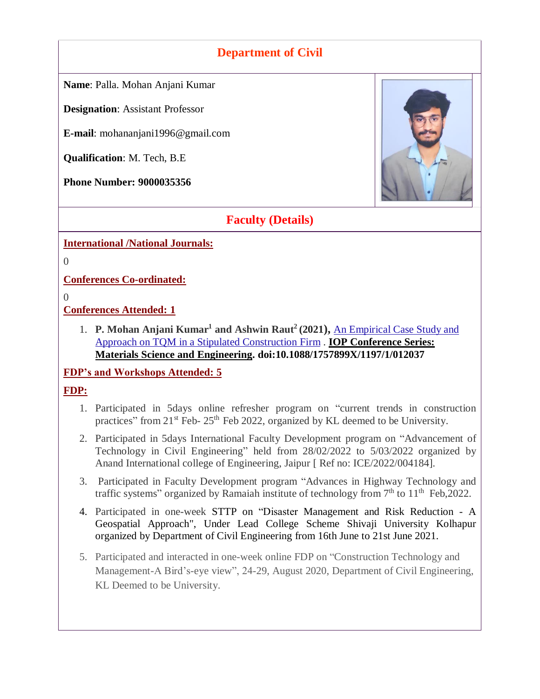## **Department of Civil**

**Name**: Palla. Mohan Anjani Kumar

**Designation**: Assistant Professor

**E-mail**: mohananjani1996@gmail.com

**Qualification**: M. Tech, B.E

**Phone Number: 9000035356**



### **Faculty (Details)**

**International /National Journals:**

0

**Conferences Co-ordinated:**

 $\Omega$ 

**Conferences Attended: 1**

1. **P. Mohan Anjani Kumar<sup>1</sup> and Ashwin Raut<sup>2</sup> (2021), An Empirical Case Study and** [Approach on TQM in a Stipulated Construction Firm](https://iopscience.iop.org/article/10.1088/1757-899X/1197/1/012037/meta) . **IOP [Conference](https://iopscience.iop.org/journal/1757-899X) Series: Materials Science and [Engineering.](https://iopscience.iop.org/journal/1757-899X) doi:10.1088/1757899X/1197/1/012037**

**FDP's and Workshops Attended: 5**

#### **FDP:**

- 1. Participated in 5days online refresher program on "current trends in construction practices" from  $21^{st}$  Feb-  $25^{th}$  Feb 2022, organized by KL deemed to be University.
- 2. Participated in 5days International Faculty Development program on "Advancement of Technology in Civil Engineering" held from 28/02/2022 to 5/03/2022 organized by Anand International college of Engineering, Jaipur [ Ref no: ICE/2022/004184].
- 3. Participated in Faculty Development program "Advances in Highway Technology and traffic systems" organized by Ramaiah institute of technology from  $7<sup>th</sup>$  to  $11<sup>th</sup>$  Feb, 2022.
- 4. Participated in one-week STTP on "Disaster Management and Risk Reduction A Geospatial Approach", Under Lead College Scheme Shivaji University Kolhapur organized by Department of Civil Engineering from 16th June to 21st June 2021.
- 5. Participated and interacted in one-week online FDP on "Construction Technology and Management-A Bird's-eye view", 24-29, August 2020, Department of Civil Engineering, KL Deemed to be University.